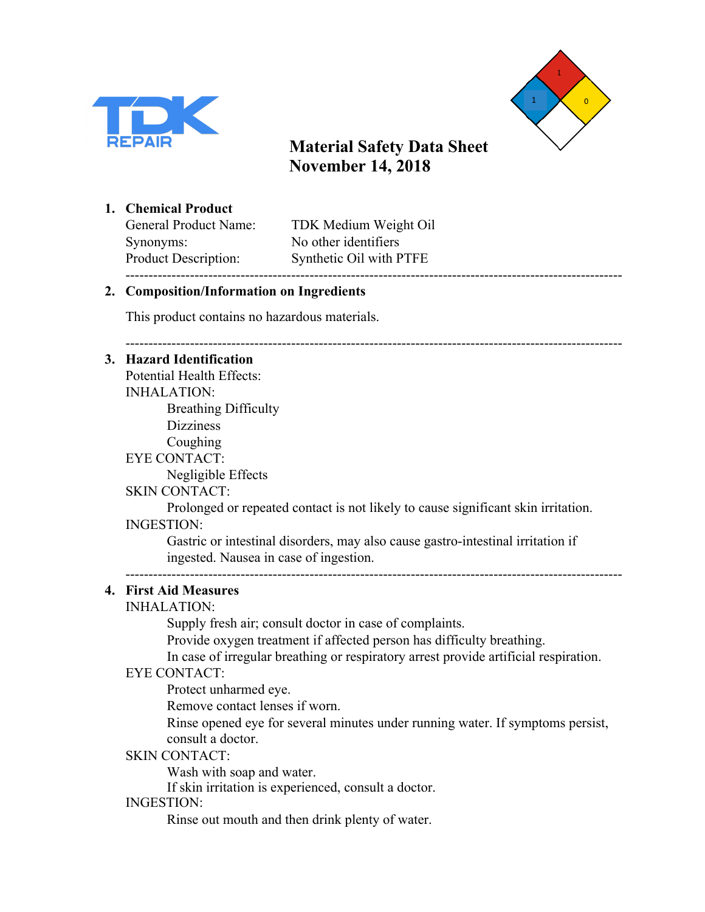



------------------------------------------------------------------------------------------------------------

**1. Chemical Product**

Synonyms: No other identifiers ------------------------------------------------------------------------------------------------------------

General Product Name: TDK Medium Weight Oil Product Description: Synthetic Oil with PTFE

### **2. Composition/Information on Ingredients**

This product contains no hazardous materials.

### **3. Hazard Identification**

Potential Health Effects: INHALATION: Breathing Difficulty **Dizziness** Coughing EYE CONTACT: Negligible Effects SKIN CONTACT:

Prolonged or repeated contact is not likely to cause significant skin irritation. INGESTION:

Gastric or intestinal disorders, may also cause gastro-intestinal irritation if ingested. Nausea in case of ingestion.

------------------------------------------------------------------------------------------------------------

## **4. First Aid Measures**

### INHALATION:

Supply fresh air; consult doctor in case of complaints.

Provide oxygen treatment if affected person has difficulty breathing.

In case of irregular breathing or respiratory arrest provide artificial respiration.

### EYE CONTACT:

Protect unharmed eye.

Remove contact lenses if worn.

Rinse opened eye for several minutes under running water. If symptoms persist, consult a doctor.

### SKIN CONTACT:

Wash with soap and water.

If skin irritation is experienced, consult a doctor.

### INGESTION:

Rinse out mouth and then drink plenty of water.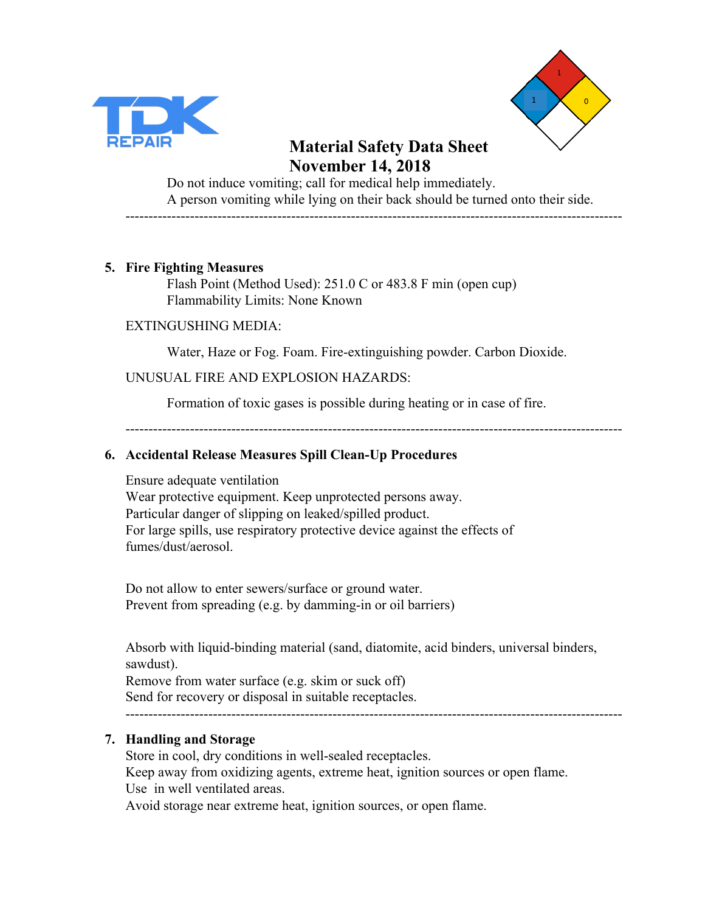



Do not induce vomiting; call for medical help immediately. A person vomiting while lying on their back should be turned onto their side. ------------------------------------------------------------------------------------------------------------

#### **5. Fire Fighting Measures**

Flash Point (Method Used): 251.0 C or 483.8 F min (open cup) Flammability Limits: None Known

#### EXTINGUSHING MEDIA:

Water, Haze or Fog. Foam. Fire-extinguishing powder. Carbon Dioxide.

#### UNUSUAL FIRE AND EXPLOSION HAZARDS:

Formation of toxic gases is possible during heating or in case of fire.

------------------------------------------------------------------------------------------------------------

#### **6. Accidental Release Measures Spill Clean-Up Procedures**

Ensure adequate ventilation Wear protective equipment. Keep unprotected persons away. Particular danger of slipping on leaked/spilled product. For large spills, use respiratory protective device against the effects of fumes/dust/aerosol.

Do not allow to enter sewers/surface or ground water. Prevent from spreading (e.g. by damming-in or oil barriers)

Absorb with liquid-binding material (sand, diatomite, acid binders, universal binders, sawdust).

Remove from water surface (e.g. skim or suck off) Send for recovery or disposal in suitable receptacles. ------------------------------------------------------------------------------------------------------------

### **7. Handling and Storage**

Store in cool, dry conditions in well-sealed receptacles. Keep away from oxidizing agents, extreme heat, ignition sources or open flame. Use in well ventilated areas. Avoid storage near extreme heat, ignition sources, or open flame.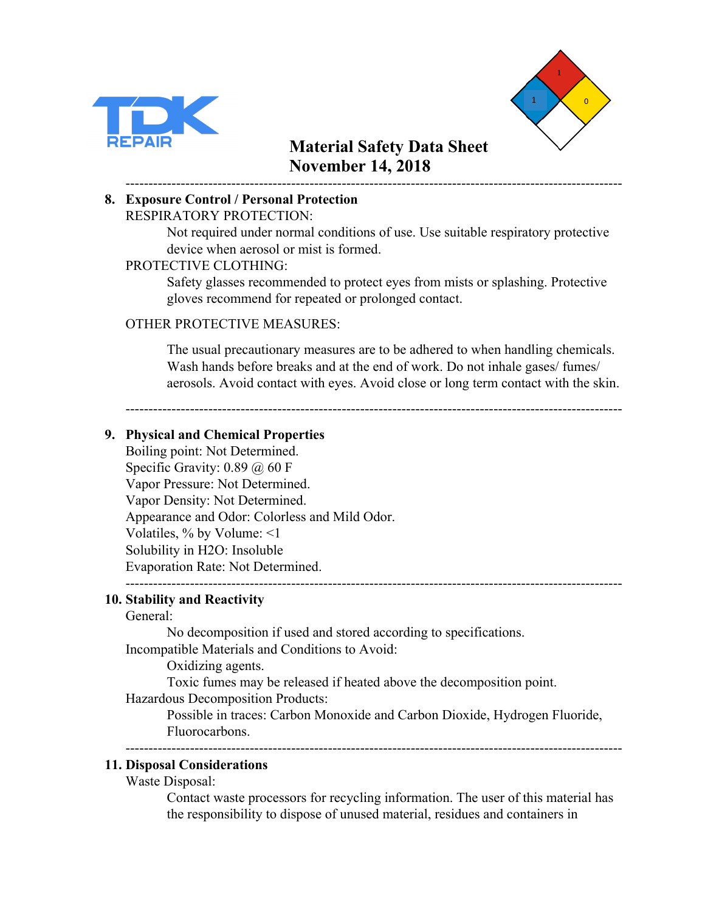



#### ------------------------------------------------------------------------------------------------------------ **8. Exposure Control / Personal Protection** RESPIRATORY PROTECTION:

Not required under normal conditions of use. Use suitable respiratory protective device when aerosol or mist is formed.

### PROTECTIVE CLOTHING:

Safety glasses recommended to protect eyes from mists or splashing. Protective gloves recommend for repeated or prolonged contact.

#### OTHER PROTECTIVE MEASURES:

The usual precautionary measures are to be adhered to when handling chemicals. Wash hands before breaks and at the end of work. Do not inhale gases/ fumes/ aerosols. Avoid contact with eyes. Avoid close or long term contact with the skin.

------------------------------------------------------------------------------------------------------------

#### **9. Physical and Chemical Properties**

Boiling point: Not Determined. Specific Gravity:  $0.89 \ (\omega) 60 \ F$ Vapor Pressure: Not Determined. Vapor Density: Not Determined. Appearance and Odor: Colorless and Mild Odor. Volatiles, % by Volume: <1 Solubility in H2O: Insoluble Evaporation Rate: Not Determined. ------------------------------------------------------------------------------------------------------------

## **10. Stability and Reactivity**

#### General:

No decomposition if used and stored according to specifications. Incompatible Materials and Conditions to Avoid:

Oxidizing agents.

Toxic fumes may be released if heated above the decomposition point.

Hazardous Decomposition Products:

Possible in traces: Carbon Monoxide and Carbon Dioxide, Hydrogen Fluoride, Fluorocarbons.

------------------------------------------------------------------------------------------------------------

#### **11. Disposal Considerations**

Waste Disposal:

Contact waste processors for recycling information. The user of this material has the responsibility to dispose of unused material, residues and containers in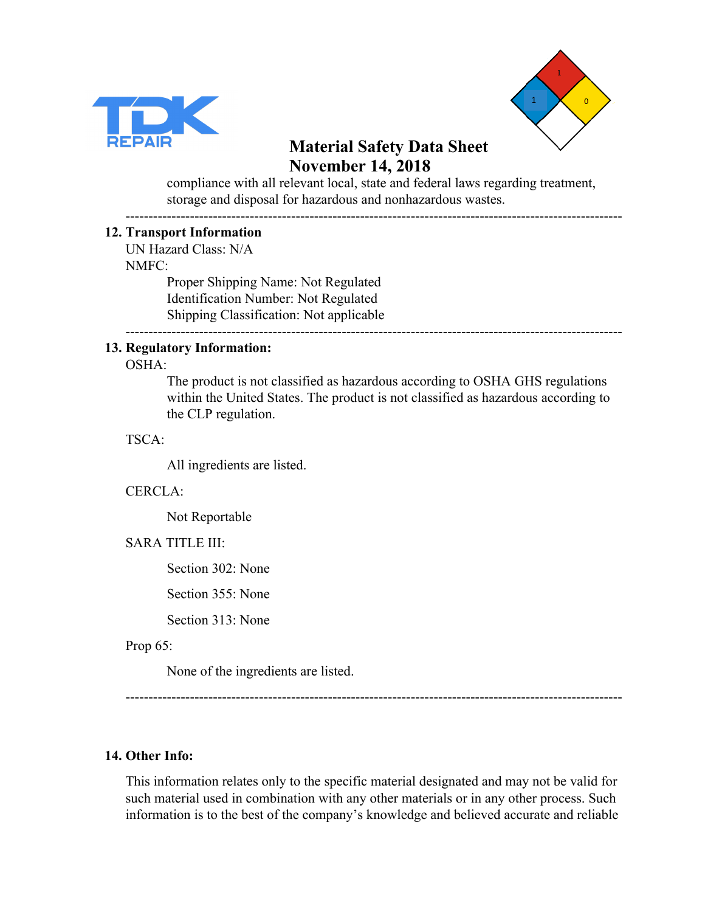



compliance with all relevant local, state and federal laws regarding treatment, storage and disposal for hazardous and nonhazardous wastes.

------------------------------------------------------------------------------------------------------------

#### **12. Transport Information**

UN Hazard Class: N/A NMFC:

Proper Shipping Name: Not Regulated Identification Number: Not Regulated Shipping Classification: Not applicable

------------------------------------------------------------------------------------------------------------

#### **13. Regulatory Information:**

OSHA:

The product is not classified as hazardous according to OSHA GHS regulations within the United States. The product is not classified as hazardous according to the CLP regulation.

TSCA:

All ingredients are listed.

#### CERCLA:

Not Reportable

#### SARA TITLE III:

Section 302: None

Section 355: None

Section 313: None

Prop 65:

None of the ingredients are listed.

------------------------------------------------------------------------------------------------------------

#### **14. Other Info:**

This information relates only to the specific material designated and may not be valid for such material used in combination with any other materials or in any other process. Such information is to the best of the company's knowledge and believed accurate and reliable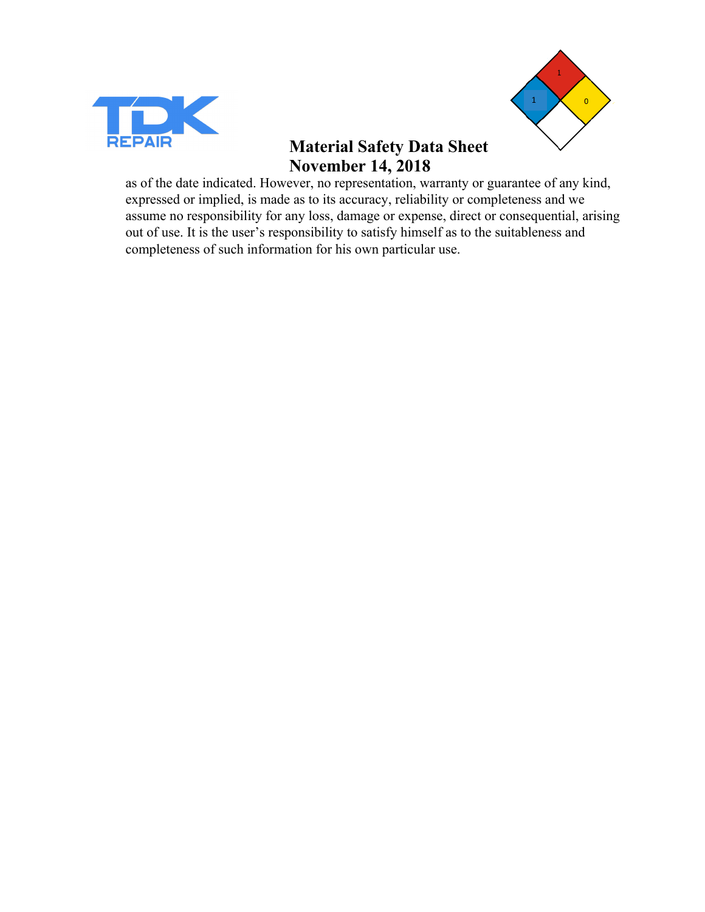



as of the date indicated. However, no representation, warranty or guarantee of any kind, expressed or implied, is made as to its accuracy, reliability or completeness and we assume no responsibility for any loss, damage or expense, direct or consequential, arising out of use. It is the user's responsibility to satisfy himself as to the suitableness and completeness of such information for his own particular use.